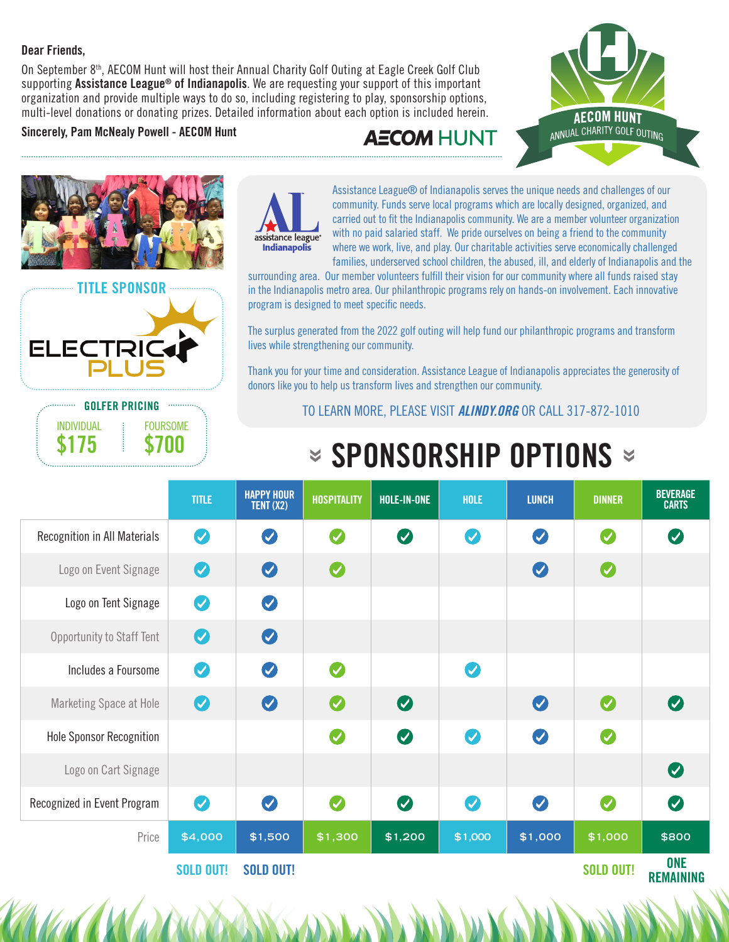### Dear Friends,

On September 8<sup>th</sup>, AECOM Hunt will host their Annual Charity Golf Outing at Eagle Creek Golf Club supporting Assistance League<sup>®</sup> of Indianapolis. We are requesting your support of this important organization and provide multiple ways to do so, including registering to play, sponsorship options, multi-level donations or donating prizes. Detailed information about each option is included herein.



#### Sincerely, Pam McNealy Powell - AECOM Hunt









Assistance League® of Indianapolis serves the unique needs and challenges of our community. Funds serve local programs which are locally designed, organized, and carried out to fit the Indianapolis community. We are a member volunteer organization with no paid salaried staff. We pride ourselves on being a friend to the community where we work, live, and play. Our charitable activities serve economically challenged families, underserved school children, the abused, ill, and elderly of Indianapolis and the

surrounding area. Our member volunteers fulfill their vision for our community where all funds raised stay in the Indianapolis metro area. Our philanthropic programs rely on hands-on involvement. Each innovative program is designed to meet specific needs.

**AECOM HUNT** 

The surplus generated from the 2022 golf outing will help fund our philanthropic programs and transform lives while strengthening our community.

Thank you for your time and consideration. Assistance League of Indianapolis appreciates the generosity of donors like you to help us transform lives and strengthen our community.

TO LEARN MORE, PLEASE VISIT *ALINDY.ORG* OR CALL 317-872-1010

# $\textdegree$  SPONSORSHIP OPTIONS  $\textdegree$

|                                  | <b>TITLE</b>     | <b>HAPPY HOUR</b><br><b>TENT <math>(X2)</math></b> | <b>HOSPITALITY</b> | HOLE-IN-ONE | <b>HOLE</b> | <b>LUNCH</b> | <b>DINNER</b>    | <b>BEVERAGE</b><br><b>CARTS</b> |
|----------------------------------|------------------|----------------------------------------------------|--------------------|-------------|-------------|--------------|------------------|---------------------------------|
| Recognition in All Materials     | $\bullet$        | $\bullet$                                          | Ø                  | $\bullet$   | $\bullet$   | $\bullet$    | $\bullet$        | $\bullet$                       |
| Logo on Event Signage            | $\bullet$        | $\bullet$                                          | $\bullet$          |             |             | $\bullet$    | $\bullet$        |                                 |
| Logo on Tent Signage             | $\bullet$        | $\bullet$                                          |                    |             |             |              |                  |                                 |
| <b>Opportunity to Staff Tent</b> | $\bullet$        | $\bullet$                                          |                    |             |             |              |                  |                                 |
| Includes a Foursome              | $\bullet$        | $\bullet$                                          | $\boldsymbol{O}$   |             | $\bullet$   |              |                  |                                 |
| Marketing Space at Hole          | $\bullet$        | $\bullet$                                          | $\boldsymbol{O}$   | $\bullet$   |             | $\bullet$    | $\bullet$        | $\bullet$                       |
| <b>Hole Sponsor Recognition</b>  |                  |                                                    | $\bullet$          | $\bullet$   | $\bullet$   | $\bullet$    | $\bullet$        |                                 |
| Logo on Cart Signage             |                  |                                                    |                    |             |             |              |                  | $\bullet$                       |
| Recognized in Event Program      | $\bullet$        | $\bullet$                                          | Ø                  | $\bullet$   | $\bullet$   | $\bullet$    | $\bullet$        | $\bullet$                       |
| Price                            | \$4,000          | \$1,500                                            | \$1,300            | \$1,200     | \$1,000     | \$1,000      | \$1,000          | \$800                           |
|                                  | <b>SOLD OUT!</b> | <b>SOLD OUT!</b>                                   |                    |             |             |              | <b>SOLD OUT!</b> | <b>ONE</b><br><b>REMAINING</b>  |